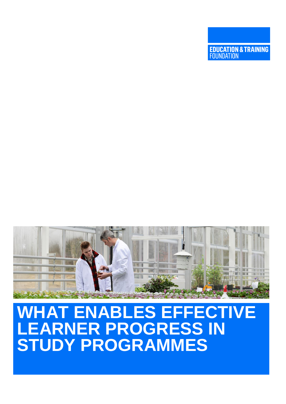# **AT ENABLES EFFECTIVE LEARNER PROGRESS IN STUDY PROGRAMMES**



**EDUCATION & TRAINING**<br>FOUNDATION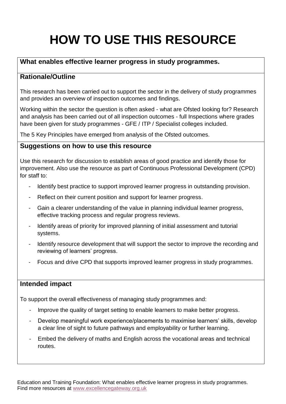# **HOW TO USE THIS RESOURCE**

## **What enables effective learner progress in study programmes.**

## **Rationale/Outline**

This research has been carried out to support the sector in the delivery of study programmes and provides an overview of inspection outcomes and findings.

Working within the sector the question is often asked - what are Ofsted looking for? Research and analysis has been carried out of all inspection outcomes - full Inspections where grades have been given for study programmes - GFE / ITP / Specialist colleges included.

The 5 Key Principles have emerged from analysis of the Ofsted outcomes.

## **Suggestions on how to use this resource**

Use this research for discussion to establish areas of good practice and identify those for improvement. Also use the resource as part of Continuous Professional Development (CPD) for staff to:

- Identify best practice to support improved learner progress in outstanding provision.
- Reflect on their current position and support for learner progress.
- Gain a clearer understanding of the value in planning individual learner progress, effective tracking process and regular progress reviews.
- Identify areas of priority for improved planning of initial assessment and tutorial systems.
- Identify resource development that will support the sector to improve the recording and reviewing of learners' progress.
- Focus and drive CPD that supports improved learner progress in study programmes.

## **Intended impact**

To support the overall effectiveness of managing study programmes and:

- Improve the quality of target setting to enable learners to make better progress.
- Develop meaningful work experience/placements to maximise learners' skills, develop a clear line of sight to future pathways and employability or further learning.
- Embed the delivery of maths and English across the vocational areas and technical routes.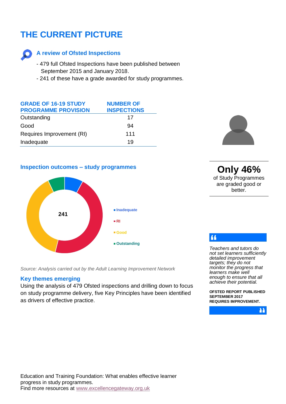## **THE CURRENT PICTURE**



## **A review of Ofsted Inspections**

- 479 full Ofsted Inspections have been published between September 2015 and January 2018.
- 241 of these have a grade awarded for study programmes.

| <b>GRADE OF 16-19 STUDY</b> | <b>NUMBER OF</b>   |
|-----------------------------|--------------------|
| <b>PROGRAMME PROVISION</b>  | <b>INSPECTIONS</b> |
| Outstanding                 | 17                 |
| Good                        | 94                 |
| Requires Improvement (RI)   | 111                |
| Inadequate                  | 19                 |

## **Inspection outcomes – study programmes**



*Source: Analysis carried out by the Adult Learning Improvement Network*

#### **Key themes emerging**

Using the analysis of 479 Ofsted inspections and drilling down to focus on study programme delivery, five Key Principles have been identified as drivers of effective practice.



**Only 46%** of Study Programmes are graded good or better.

 $\overline{11}$ 

*Teachers and tutors do not set learners sufficiently detailed improvement targets; they do not monitor the progress that learners make well enough to ensure that all achieve their potential.*

**OFSTED REPORT PUBLISHED SEPTEMBER 2017 REQUIRES IMPROVEMENT.**

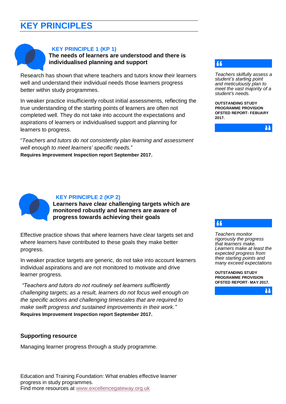## **KEY PRINCIPLES**



## **KEY PRINCIPLE 1 (KP 1)**

**The needs of learners are understood and there is individualised planning and support** 

Research has shown that where teachers and tutors know their learners well and understand their individual needs those learners progress better within study programmes.

In weaker practice insufficiently robust initial assessments, reflecting the true understanding of the starting points of learners are often not completed well. They do not take into account the expectations and aspirations of learners or individualised support and planning for learners to progress.

"*Teachers and tutors do not consistently plan learning and assessment well enough to meet learners' specific needs.*" **Requires Improvement Inspection report September 2017.** 

## $\sqrt{4}$

*Teachers skilfully assess a student's starting point and meticulously plan to meet the vast majority of a student's needs.*

**OUTSTANDING STUDY PROGRAMME PROVISION OFSTED REPORT- FEBUARY 2017.**

Μ



#### **KEY PRINCIPLE 2 (KP 2)**

**Learners have clear challenging targets which are monitored robustly and learners are aware of progress towards achieving their goals**

Effective practice shows that where learners have clear targets set and where learners have contributed to these goals they make better progress.

In weaker practice targets are generic, do not take into account learners individual aspirations and are not monitored to motivate and drive learner progress.

*"Teachers and tutors do not routinely set learners sufficiently challenging targets; as a result, learners do not focus well enough on the specific actions and challenging timescales that are required to make swift progress and sustained improvements in their work."* **Requires Improvement Inspection report September 2017.**

## **Supporting resource**

Managing learner progress through a study programme.

### 44

*Teachers monitor rigorously the progress that learners make. Learners make at least the expected progress from their starting points and many exceed expectations*

**OUTSTANDING STUDY PROGRAMME PROVISION OFSTED REPORT- MAY 2017.**

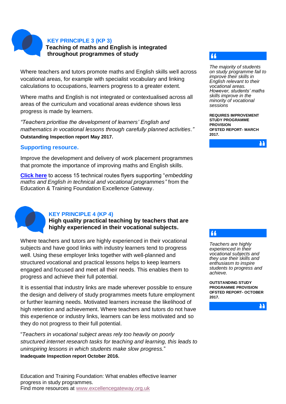**KEY PRINCIPLE 3 (KP 3)**

**Teaching of maths and English is integrated throughout programmes of study** 

Where teachers and tutors promote maths and English skills well across vocational areas, for example with specialist vocabulary and linking calculations to occupations, learners progress to a greater extent.

Where maths and English is not integrated or contextualised across all areas of the curriculum and vocational areas evidence shows less progress is made by learners.

*"Teachers prioritise the development of learners' English and mathematics in vocational lessons through carefully planned activities."* **Outstanding Inspection report May 2017.**

## **Supporting resource.**

Improve the development and delivery of work placement programmes that promote the importance of improving maths and English skills.

**[Click here](https://www.excellencegateway.org.uk/content/etf2691)** to access 15 technical routes flyers supporting "*embedding maths and English in technical and vocational programmes"* from the Education & Training Foundation Excellence Gateway.



## **KEY PRINCIPLE 4 (KP 4)**

**High quality practical teaching by teachers that are highly experienced in their vocational subjects.**

Where teachers and tutors are highly experienced in their vocational subjects and have good links with industry learners tend to progress well. Using these employer links together with well-planned and structured vocational and practical lessons helps to keep learners engaged and focused and meet all their needs. This enables them to progress and achieve their full potential.

It is essential that industry links are made wherever possible to ensure the design and delivery of study programmes meets future employment or further learning needs. Motivated learners increase the likelihood of high retention and achievement. Where teachers and tutors do not have this experience or industry links, learners can be less motivated and so they do not progress to their full potential.

"*Teachers in vocational subject areas rely too heavily on poorly structured internet research tasks for teaching and learning, this leads to uninspiring lessons in which students make slow progress.*" **Inadequate Inspection report October 2016.**

## $\overline{11}$

*The majority of students on study programme fail to improve their skills in English relevant to their vocational areas. However, students' maths skills improve in the minority of vocational sessions* 

**REQUIRES IMPROVEMENT STUDY PROGRAMME PROVISION OFSTED REPORT- MARCH 2017.**



## 44

*Teachers are highly experienced in their vocational subjects and they use their skills and enthusiasm to inspire students to progress and achieve.*

**OUTSTANDING STUDY PROGRAMME PROVISION OFSTED REPORT- OCTOBER 2017.**